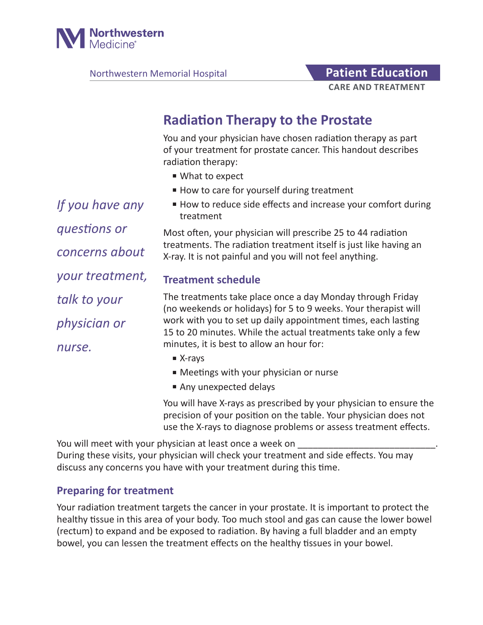

Northwestern Memorial Hospital **Patient Education** 

# **CARE AND TREATMENT**

# **Radiation Therapy to the Prostate**

You and your physician have chosen radiation therapy as part of your treatment for prostate cancer. This handout describes radiation therapy:

- What to expect
- How to care for yourself during treatment
- How to reduce side effects and increase your comfort during treatment

Most often, your physician will prescribe 25 to 44 radiation treatments. The radiation treatment itself is just like having an X-ray. It is not painful and you will not feel anything.

## **Treatment schedule**

The treatments take place once a day Monday through Friday (no weekends or holidays) for 5 to 9 weeks. Your therapist will work with you to set up daily appointment times, each lasting 15 to 20 minutes. While the actual treatments take only a few minutes, it is best to allow an hour for:

- X-rays
- Meetings with your physician or nurse
- Any unexpected delays

You will have X-rays as prescribed by your physician to ensure the precision of your position on the table. Your physician does not use the X-rays to diagnose problems or assess treatment effects.

You will meet with your physician at least once a week on During these visits, your physician will check your treatment and side effects. You may discuss any concerns you have with your treatment during this time.

## **Preparing for treatment**

Your radiation treatment targets the cancer in your prostate. It is important to protect the healthy tissue in this area of your body. Too much stool and gas can cause the lower bowel (rectum) to expand and be exposed to radiation. By having a full bladder and an empty bowel, you can lessen the treatment effects on the healthy tissues in your bowel.

*If you have any questions or concerns about your treatment, talk to your physician or nurse.*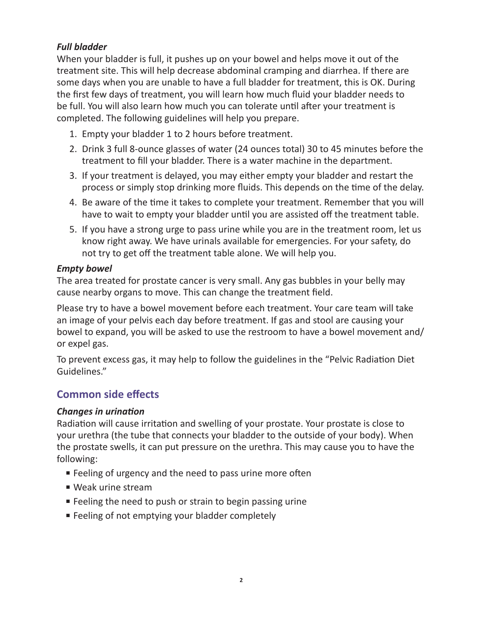#### *Full bladder*

When your bladder is full, it pushes up on your bowel and helps move it out of the treatment site. This will help decrease abdominal cramping and diarrhea. If there are some days when you are unable to have a full bladder for treatment, this is OK. During the first few days of treatment, you will learn how much fluid your bladder needs to be full. You will also learn how much you can tolerate until after your treatment is completed. The following guidelines will help you prepare.

- 1. Empty your bladder 1 to 2 hours before treatment.
- 2. Drink 3 full 8-ounce glasses of water (24 ounces total) 30 to 45 minutes before the treatment to fill your bladder. There is a water machine in the department.
- 3. If your treatment is delayed, you may either empty your bladder and restart the process or simply stop drinking more fluids. This depends on the time of the delay.
- 4. Be aware of the time it takes to complete your treatment. Remember that you will have to wait to empty your bladder until you are assisted off the treatment table.
- 5. If you have a strong urge to pass urine while you are in the treatment room, let us know right away. We have urinals available for emergencies. For your safety, do not try to get off the treatment table alone. We will help you.

#### *Empty bowel*

The area treated for prostate cancer is very small. Any gas bubbles in your belly may cause nearby organs to move. This can change the treatment field.

Please try to have a bowel movement before each treatment. Your care team will take an image of your pelvis each day before treatment. If gas and stool are causing your bowel to expand, you will be asked to use the restroom to have a bowel movement and/ or expel gas.

To prevent excess gas, it may help to follow the guidelines in the "Pelvic Radiation Diet Guidelines."

# **Common side effects**

#### *Changes in urination*

Radiation will cause irritation and swelling of your prostate. Your prostate is close to your urethra (the tube that connects your bladder to the outside of your body). When the prostate swells, it can put pressure on the urethra. This may cause you to have the following:

- Feeling of urgency and the need to pass urine more often
- Weak urine stream
- Feeling the need to push or strain to begin passing urine
- Feeling of not emptying your bladder completely